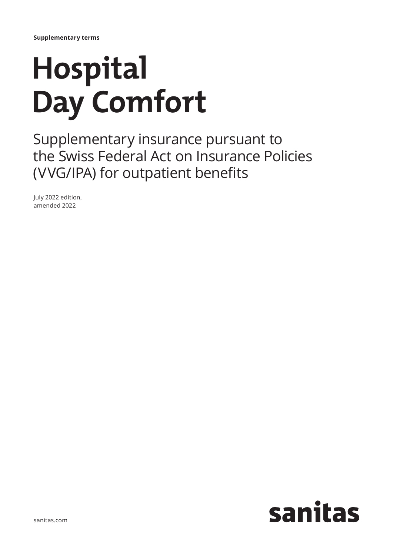# **Hospital Day Comfort**

Supplementary insurance pursuant to the Swiss Federal Act on Insurance Policies (VVG/IPA) for outpatient benefits

July 2022 edition, amended 2022

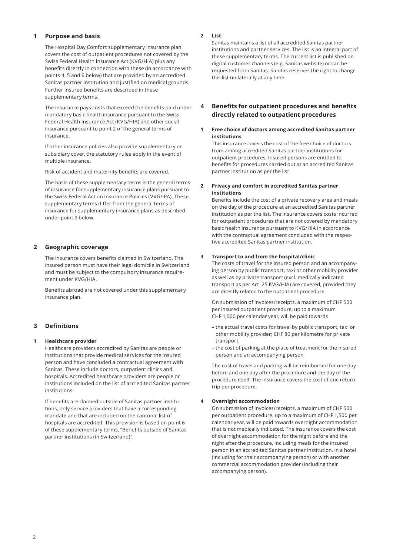# **1 Purpose and basis**

The Hospital Day Comfort supplementary insurance plan covers the cost of outpatient procedures not covered by the Swiss Federal Health Insurance Act (KVG/HIA) plus any benefits directly in connection with these (in accordance with points 4, 5 and 6 below) that are provided by an accredited Sanitas partner institution and justified on medical grounds. Further insured benefits are described in these supplementary terms.

The insurance pays costs that exceed the benefits paid under mandatory basic health insurance pursuant to the Swiss Federal Health Insurance Act (KVG/HIA) and other social insurance pursuant to point 2 of the general terms of insurance.

If other insurance policies also provide supplementary or subsidiary cover, the statutory rules apply in the event of multiple insurance.

Risk of accident and maternity benefits are covered.

The basis of these supplementary terms is the general terms of insurance for supplementary insurance plans pursuant to the Swiss Federal Act on Insurance Policies (VVG/IPA). These supplementary terms differ from the general terms of insurance for supplementary insurance plans as described under point 9 below.

# **2 Geographic coverage**

The insurance covers benefits claimed in Switzerland. The insured person must have their legal domicile in Switzerland and must be subject to the compulsory insurance requirement under KVG/HIA.

Benefits abroad are not covered under this supplementary insurance plan.

# **3 Definitions**

## **1 Healthcare provider**

Healthcare providers accredited by Sanitas are people or institutions that provide medical services for the insured person and have concluded a contractual agreement with Sanitas. These include doctors, outpatient clinics and hospitals. Accredited healthcare providers are people or institutions included on the list of accredited Sanitas partner institutions.

If benefits are claimed outside of Sanitas partner institutions, only service providers that have a corresponding mandate and that are included on the cantonal list of hospitals are accredited. This provision is based on point 6 of these supplementary terms, "Benefits outside of Sanitas partner institutions (in Switzerland)".

## **2 List**

Sanitas maintains a list of all accredited Sanitas partner institutions and partner services. The list is an integral part of these supplementary terms. The current list is published on digital customer channels (e.g. Sanitas website) or can be requested from Sanitas. Sanitas reserves the right to change this list unilaterally at any time.

# **4 Benefits for outpatient procedures and benefits directly related to outpatient procedures**

## **1 Free choice of doctors among accredited Sanitas partner institutions**

This insurance covers the cost of the free choice of doctors from among accredited Sanitas partner institutions for outpatient procedures. Insured persons are entitled to benefits for procedures carried out at an accredited Sanitas partner institution as per the list.

## **2 Privacy and comfort in accredited Sanitas partner institutions**

Benefits include the cost of a private recovery area and meals on the day of the procedure at an accredited Sanitas partner institution as per the list. The insurance covers costs incurred for outpatient procedures that are not covered by mandatory basic health insurance pursuant to KVG/HIA in accordance with the contractual agreement concluded with the respective accredited Sanitas partner institution.

## **3 Transport to and from the hospital/clinic**

The costs of travel for the insured person and an accompanying person by public transport, taxi or other mobility provider as well as by private transport (excl. medically indicated transport as per Art. 25 KVG/HIA) are covered, provided they are directly related to the outpatient procedure.

On submission of invoices/receipts, a maximum of CHF 500 per insured outpatient procedure, up to a maximum CHF 1,000 per calendar year, will be paid towards

- the actual travel costs for travel by public transport, taxi or other mobility provider; CHF 80 per kilometre for private transport
- the cost of parking at the place of treatment for the insured person and an accompanying person

The cost of travel and parking will be reimbursed for one day before and one day after the procedure and the day of the procedure itself. The insurance covers the cost of one return trip per procedure.

## **4 Overnight accommodation**

On submission of invoices/receipts, a maximum of CHF 500 per outpatient procedure, up to a maximum of CHF 1,500 per calendar year, will be paid towards overnight accommodation that is not medically indicated. The insurance covers the cost of overnight accommodation for the night before and the night after the procedure, including meals for the insured person in an accredited Sanitas partner institution, in a hotel (including for their accompanying person) or with another commercial accommodation provider (including their accompanying person).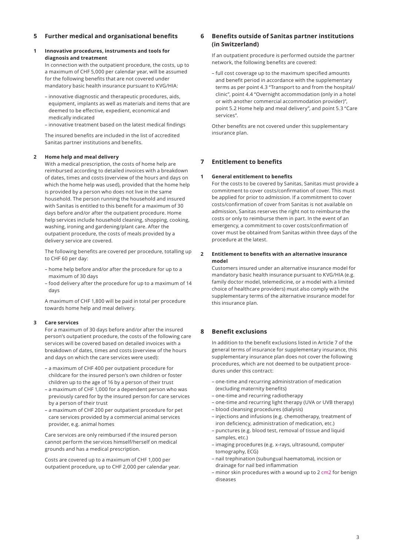# **5 Further medical and organisational benefits**

## **1 Innovative procedures, instruments and tools for diagnosis and treatment**

In connection with the outpatient procedure, the costs, up to a maximum of CHF 5,000 per calendar year, will be assumed for the following benefits that are not covered under mandatory basic health insurance pursuant to KVG/HIA:

- innovative diagnostic and therapeutic procedures, aids, equipment, implants as well as materials and items that are deemed to be effective, expedient, economical and medically indicated
- innovative treatment based on the latest medical findings

The insured benefits are included in the list of accredited Sanitas partner institutions and benefits.

#### **2 Home help and meal delivery**

With a medical prescription, the costs of home help are reimbursed according to detailed invoices with a breakdown of dates, times and costs (overview of the hours and days on which the home help was used), provided that the home help is provided by a person who does not live in the same household. The person running the household and insured with Sanitas is entitled to this benefit for a maximum of 30 days before and/or after the outpatient procedure. Home help services include household cleaning, shopping, cooking, washing, ironing and gardening/plant care. After the outpatient procedure, the costs of meals provided by a delivery service are covered.

The following benefits are covered per procedure, totalling up to CHF 60 per day:

- home help before and/or after the procedure for up to a maximum of 30 days
- food delivery after the procedure for up to a maximum of 14 days

A maximum of CHF 1,800 will be paid in total per procedure towards home help and meal delivery.

#### **3 Care services**

For a maximum of 30 days before and/or after the insured person's outpatient procedure, the costs of the following care services will be covered based on detailed invoices with a breakdown of dates, times and costs (overview of the hours and days on which the care services were used):

- a maximum of CHF 400 per outpatient procedure for childcare for the insured person's own children or foster children up to the age of 16 by a person of their trust
- a maximum of CHF 1,000 for a dependent person who was previously cared for by the insured person for care services by a person of their trust
- a maximum of CHF 200 per outpatient procedure for pet care services provided by a commercial animal services provider, e.g. animal homes

Care services are only reimbursed if the insured person cannot perform the services himself/herself on medical grounds and has a medical prescription.

Costs are covered up to a maximum of CHF 1,000 per outpatient procedure, up to CHF 2,000 per calendar year.

# **6 Benefits outside of Sanitas partner institutions (in Switzerland)**

If an outpatient procedure is performed outside the partner network, the following benefits are covered:

– full cost coverage up to the maximum specified amounts and benefit period in accordance with the supplementary terms as per point 4.3 "Transport to and from the hospital/ clinic", point 4.4 "Overnight accommodation (only in a hotel or with another commercial accommodation provider)", point 5.2 Home help and meal delivery", and point 5.3 "Care services".

Other benefits are not covered under this supplementary insurance plan.

## **7 Entitlement to benefits**

#### **1 General entitlement to benefits**

For the costs to be covered by Sanitas, Sanitas must provide a commitment to cover costs/confirmation of cover. This must be applied for prior to admission. If a commitment to cover costs/confirmation of cover from Sanitas is not available on admission, Sanitas reserves the right not to reimburse the costs or only to reimburse them in part. In the event of an emergency, a commitment to cover costs/confirmation of cover must be obtained from Sanitas within three days of the procedure at the latest.

## **2 Entitlement to benefits with an alternative insurance model**

Customers insured under an alternative insurance model for mandatory basic health insurance pursuant to KVG/HIA (e.g. family doctor model, telemedicine, or a model with a limited choice of healthcare providers) must also comply with the supplementary terms of the alternative insurance model for this insurance plan.

# **8 Benefit exclusions**

In addition to the benefit exclusions listed in Article 7 of the general terms of insurance for supplementary insurance, this supplementary insurance plan does not cover the following procedures, which are not deemed to be outpatient procedures under this contract:

- one-time and recurring administration of medication (excluding maternity benefits)
- one-time and recurring radiotherapy
- one-time and recurring light therapy (UVA or UVB therapy)
- blood cleansing procedures (dialysis)
- injections and infusions (e.g. chemotherapy, treatment of iron deficiency, administration of medication, etc.)
- punctures (e.g. blood test, removal of tissue and liquid samples, etc.)
- imaging procedures (e.g. x-rays, ultrasound, computer tomography, ECG)
- nail trephination (subungual haematoma), incision or drainage for nail bed inflammation
- minor skin procedures with a wound up to 2 cm2 for benign diseases